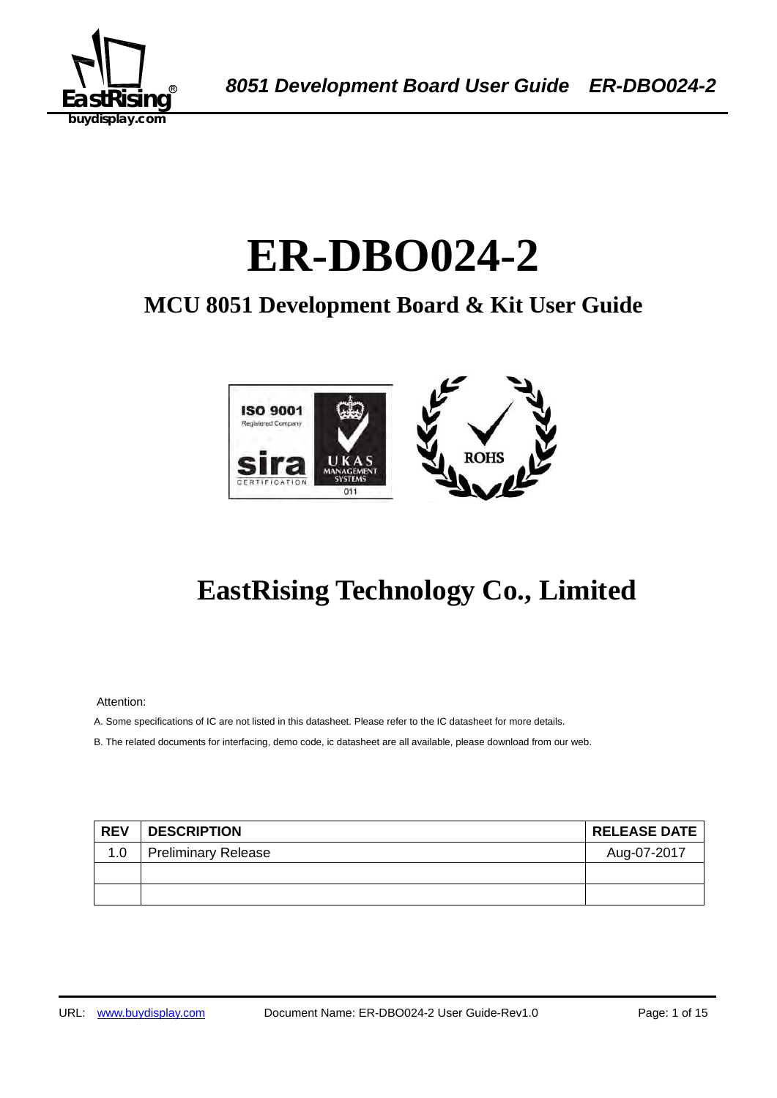

# 1B**ER-DBO024-2**

## **MCU 8051 Development Board & Kit User Guide**



## **EastRising Technology Co., Limited**

Attention:

A. Some specifications of IC are not listed in this datasheet. Please refer to the IC datasheet for more details.

B. The related documents for interfacing, demo code, ic datasheet are all available, please download from our web.

| <b>REV</b> | <b>DESCRIPTION</b>         | <b>RELEASE DATE</b> |
|------------|----------------------------|---------------------|
| 1.0        | <b>Preliminary Release</b> | Aug-07-2017         |
|            |                            |                     |
|            |                            |                     |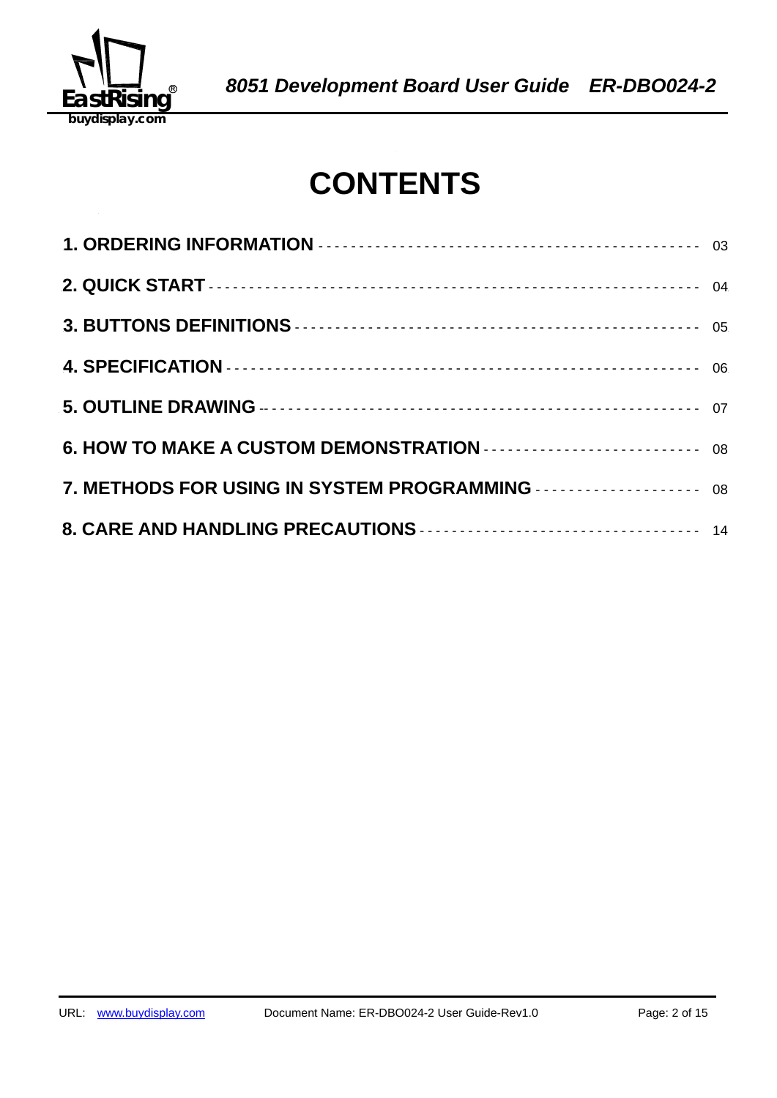

## **CONTENTS**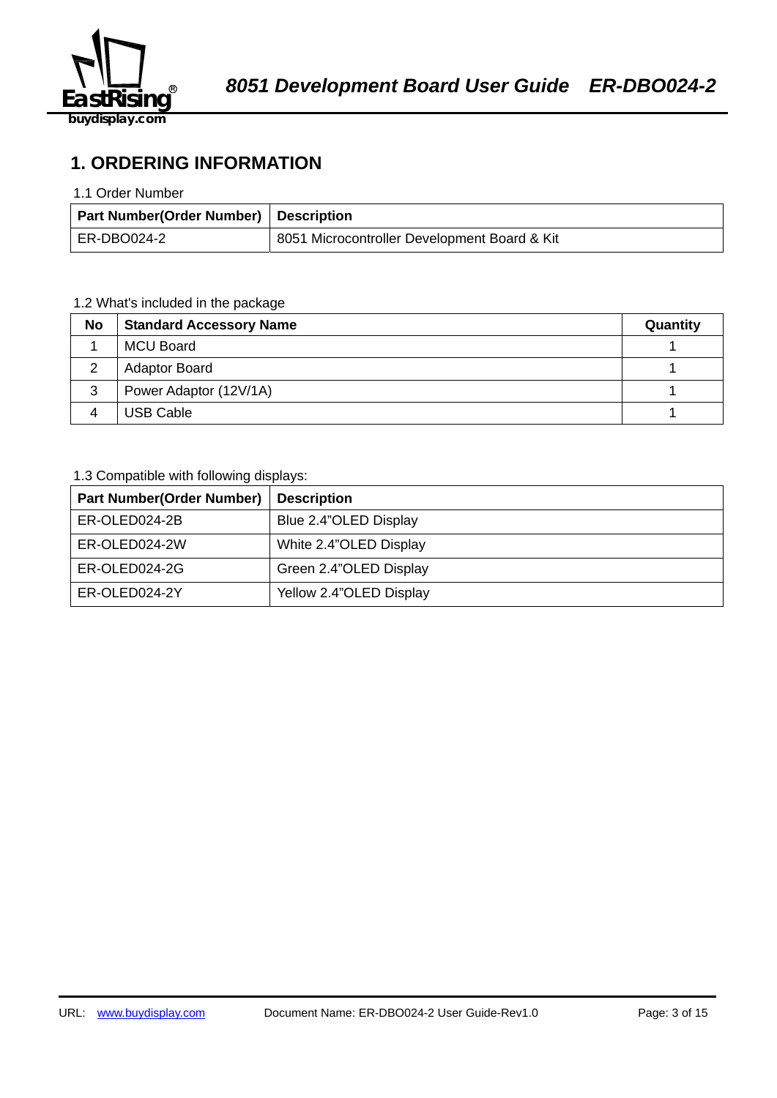

**1. ORDERING INFORMATION** 

#### 1.1 Order Number

| Part Number(Order Number) Description |                                              |
|---------------------------------------|----------------------------------------------|
| ER-DBO024-2                           | 8051 Microcontroller Development Board & Kit |

### 1.2 What's included in the package

| No | <b>Standard Accessory Name</b> | Quantity |
|----|--------------------------------|----------|
|    | <b>MCU Board</b>               |          |
|    | <b>Adaptor Board</b>           |          |
| 3  | Power Adaptor (12V/1A)         |          |
|    | <b>USB Cable</b>               |          |

## 1.3 Compatible with following displays:

| <b>Part Number(Order Number)</b> | <b>Description</b>      |
|----------------------------------|-------------------------|
| ER-OLED024-2B                    | Blue 2.4"OLED Display   |
| ER-OLED024-2W                    | White 2.4"OLED Display  |
| ER-OLED024-2G                    | Green 2.4"OLED Display  |
| ER-OLED024-2Y                    | Yellow 2.4"OLED Display |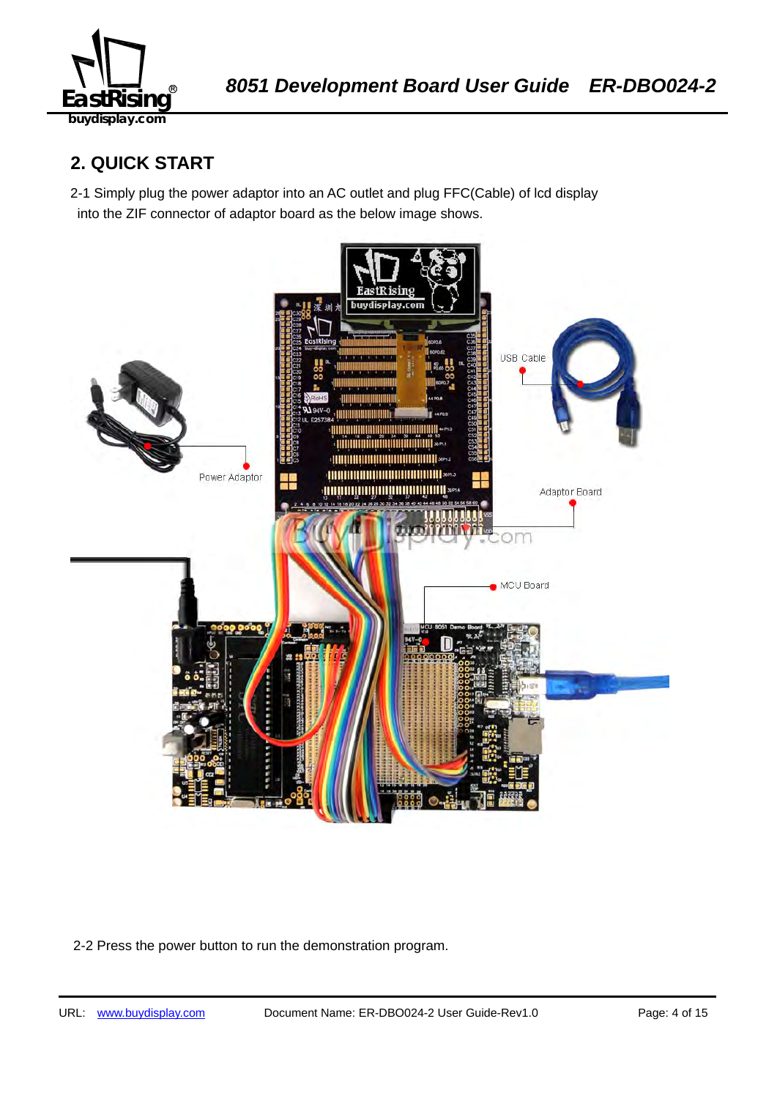

## **2. QUICK START**

2-1 Simply plug the power adaptor into an AC outlet and plug FFC(Cable) of lcd display into the ZIF connector of adaptor board as the below image shows.



2-2 Press the power button to run the demonstration program.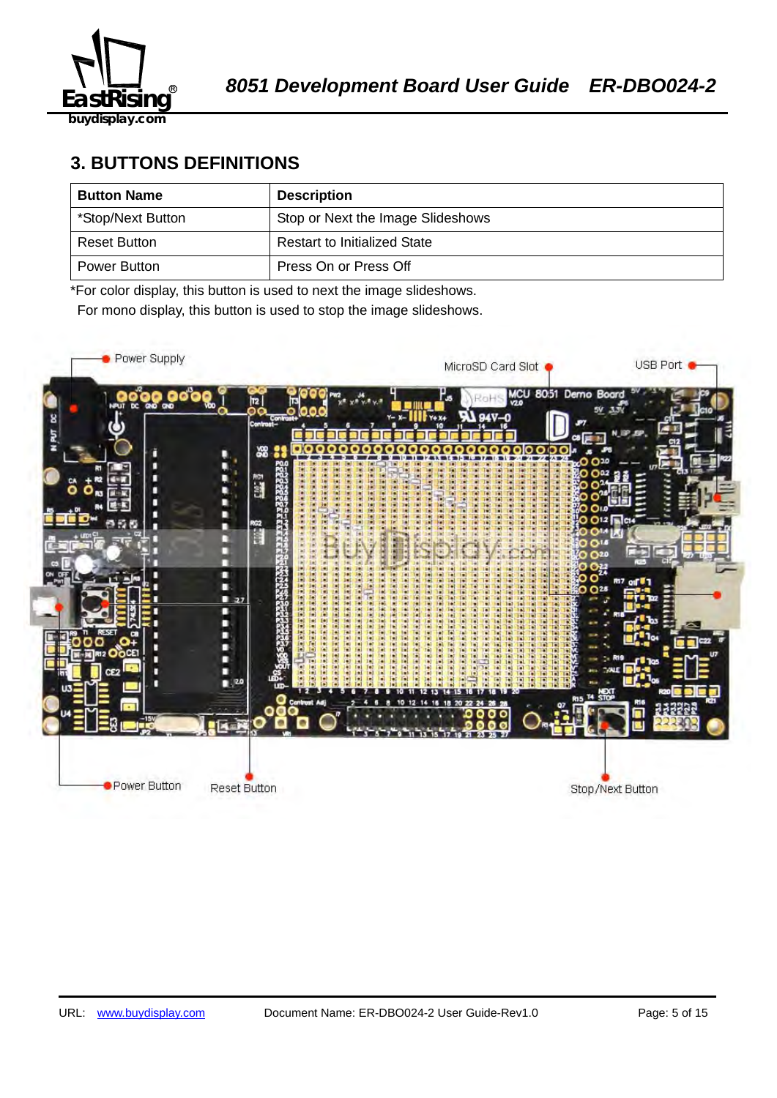

## **3. BUTTONS DEFINITIONS**

| <b>Button Name</b> | <b>Description</b>                  |
|--------------------|-------------------------------------|
| *Stop/Next Button  | Stop or Next the Image Slideshows   |
| Reset Button       | <b>Restart to Initialized State</b> |
| Power Button       | Press On or Press Off               |

\*For color display, this button is used to next the image slideshows.

For mono display, this button is used to stop the image slideshows.

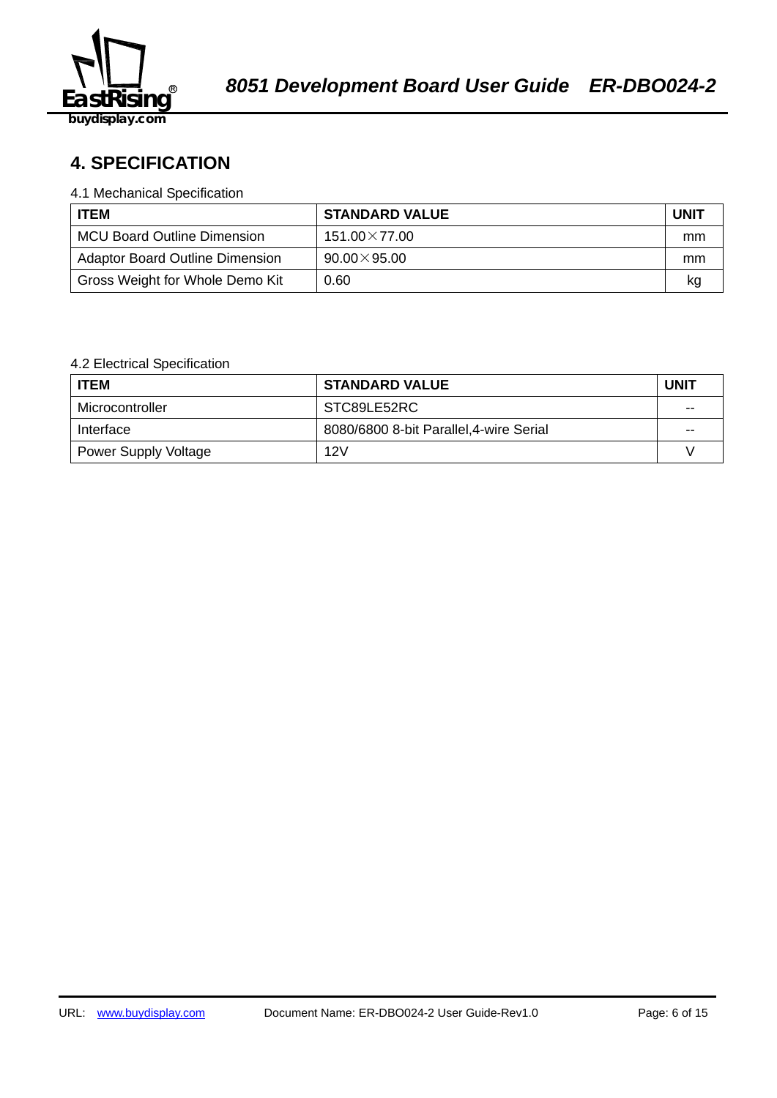

## 58B2140359**4. SPECIFICATION**

#### 4.1 Mechanical Specification

| <b>ITEM</b>                            | <b>STANDARD VALUE</b> | <b>UNIT</b> |
|----------------------------------------|-----------------------|-------------|
| <b>MCU Board Outline Dimension</b>     | $151.00\times77.00$   | mm          |
| <b>Adaptor Board Outline Dimension</b> | $90.00\times95.00$    | mm          |
| Gross Weight for Whole Demo Kit        | 0.60                  | kq          |

### 4.2 Electrical Specification

| <b>ITEM</b>                 | <b>STANDARD VALUE</b>                   | <b>UNIT</b> |
|-----------------------------|-----------------------------------------|-------------|
| Microcontroller             | STC89LE52RC                             | $-$         |
| Interface                   | 8080/6800 8-bit Parallel, 4-wire Serial | $- -$       |
| <b>Power Supply Voltage</b> | 12V                                     |             |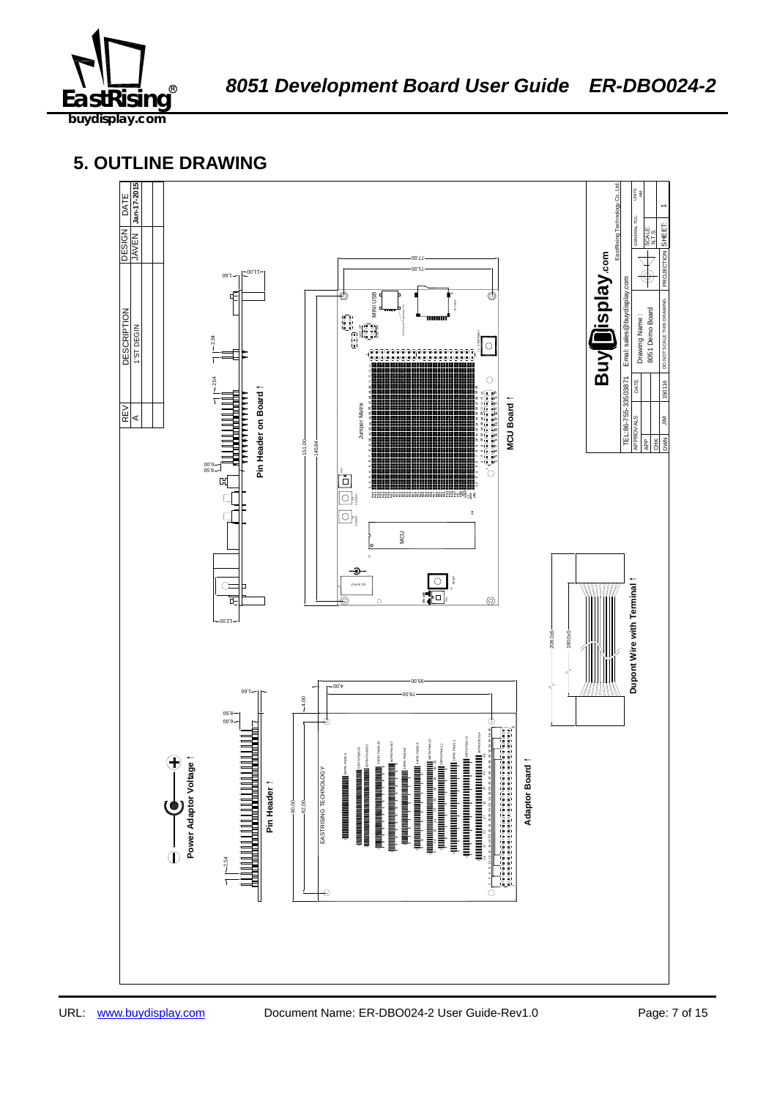

## **5. OUTLINE DRAWING**

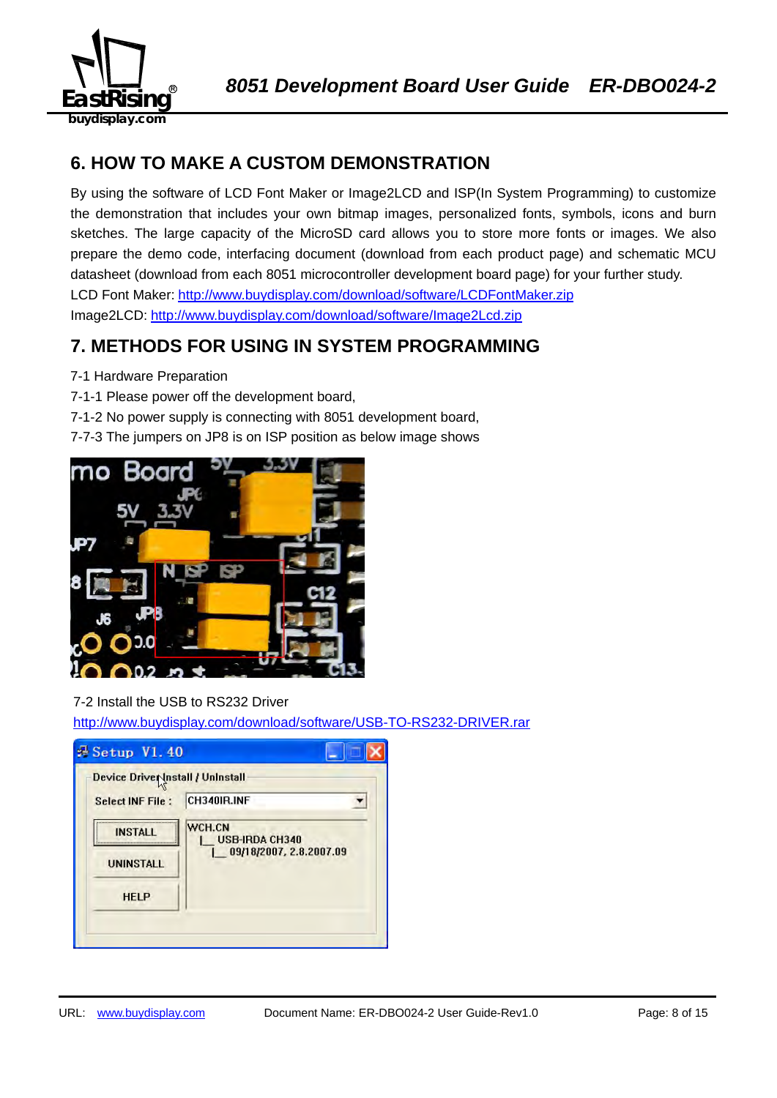

## **6. HOW TO MAKE A CUSTOM DEMONSTRATION**

By using the software of LCD Font Maker or Image2LCD and ISP(In System Programming) to customize the demonstration that includes your own bitmap images, personalized fonts, symbols, icons and burn sketches. The large capacity of the MicroSD card allows you to store more fonts or images. We also prepare the demo code, interfacing document (download from each product page) and schematic MCU datasheet (download from each 8051 microcontroller development board page) for your further study. LCD Font Maker: http://www.buydisplay.com/download/software/LCDFontMaker.zip Image2LCD: http://www.buydisplay.com/download/software/Image2Lcd.zip

## **7. METHODS FOR USING IN SYSTEM PROGRAMMING**

- 7-1 Hardware Preparation
- 7-1-1 Please power off the development board,
- 7-1-2 No power supply is connecting with 8051 development board,
- 7-7-3 The jumpers on JP8 is on ISP position as below image shows



### 7-2 Install the USB to RS232 Driver

http://www.buydisplay.com/download/software/USB-TO-RS232-DRIVER.rar

| Device Driver Install / Uninstall |                                 |
|-----------------------------------|---------------------------------|
| <b>Select INF File:</b>           | CH340IR.INF                     |
| <b>INSTALL</b>                    | WCH.CN<br><b>USB-IRDA CH340</b> |
| <b>UNINSTALL</b>                  | 09/18/2007, 2.8.2007.09         |
| <b>HELP</b>                       |                                 |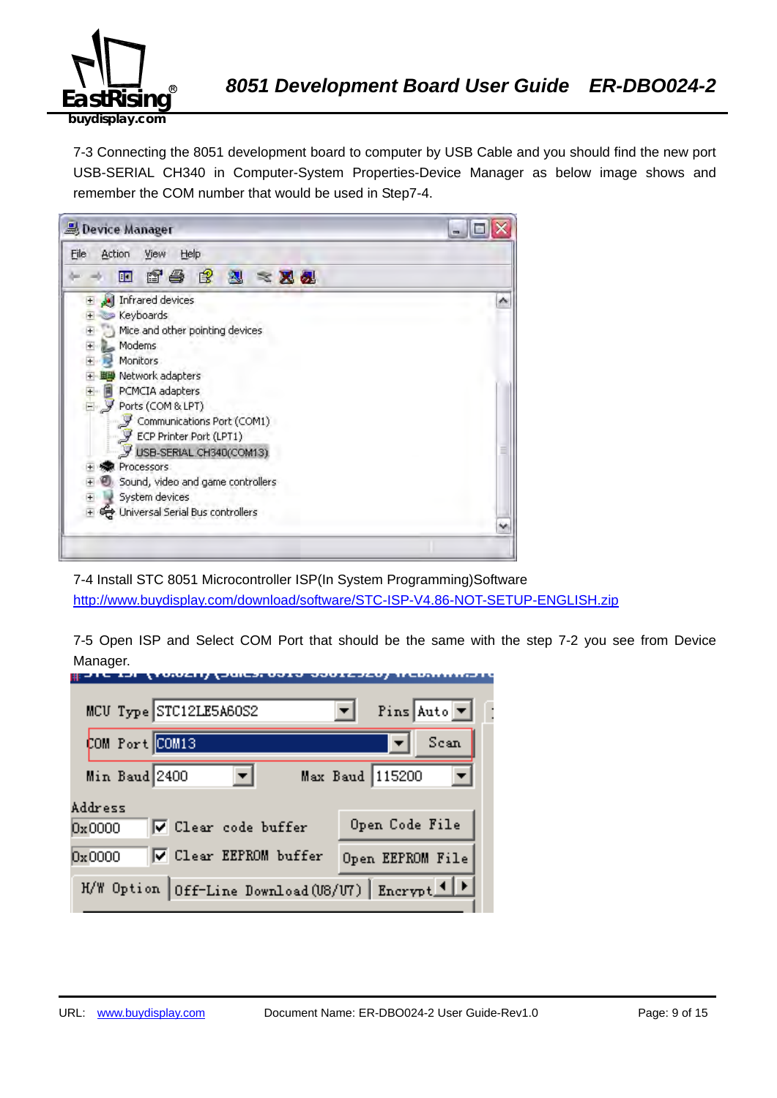

7-3 Connecting the 8051 development board to computer by USB Cable and you should find the new port USB-SERIAL CH340 in Computer-System Properties-Device Manager as below image shows and remember the COM number that would be used in Step7-4.



7-4 Install STC 8051 Microcontroller ISP(In System Programming)Software http://www.buydisplay.com/download/software/STC-ISP-V4.86-NOT-SETUP-ENGLISH.zip

7-5 Open ISP and Select COM Port that should be the same with the step 7-2 you see from Device Manager.

| MCU Type STC12LE5A60S2                             | Pins Auto $\boxed{\mathbf{v}}$ |
|----------------------------------------------------|--------------------------------|
| COM Port COM13                                     | Scan                           |
| Min Baud 2400                                      | Max Baud 115200                |
| Address<br>$\nabla$ Clear code buffer<br>0x0000    | Open Code File                 |
| <b>▽</b> Clear EEPROM buffer<br>0x0000             | Open EEPROM File               |
| H/W Option Off-Line Download (U8/U7) Encrypt 1   > |                                |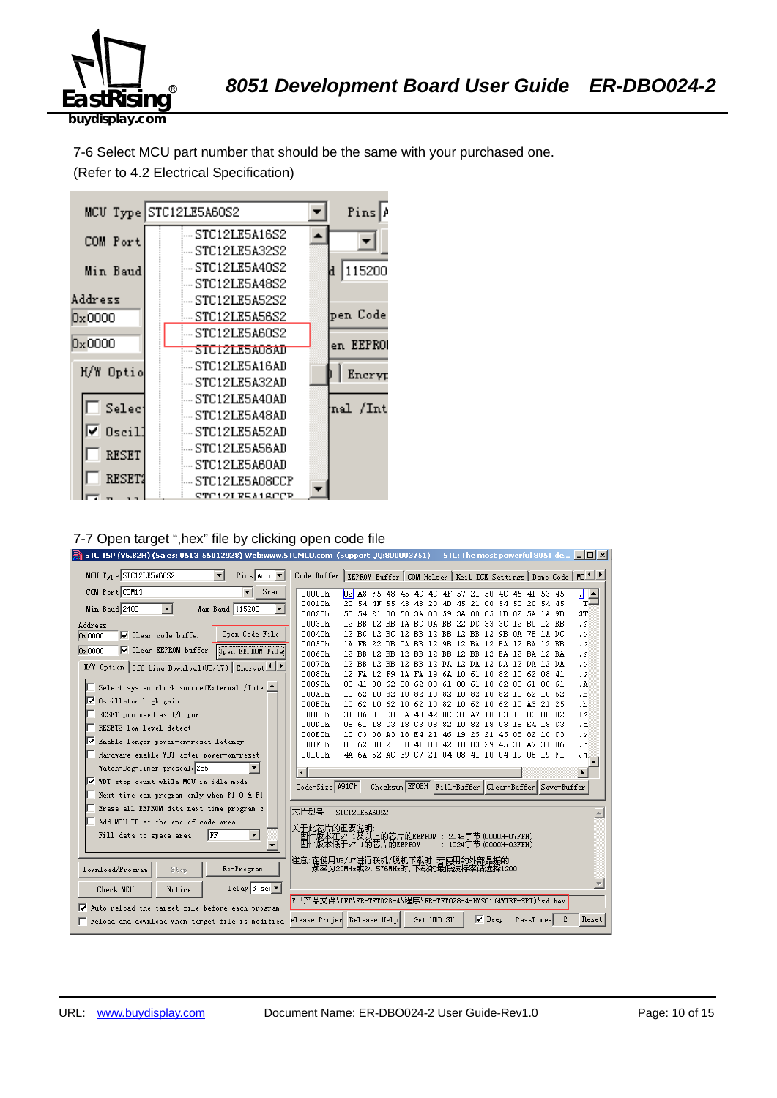

7-6 Select MCU part number that should be the same with your purchased one. (Refer to 4.2 Electrical Specification)



#### 7-7 Open target ",hex" file by clicking open code file

|                                                                                  | STC-ISP (V6.82H) (Sales: 0513-55012928) Web:www.STCMCU.com (Support QQ:800003751) -- STC: The most powerful 8051 de $\Box$ $\Box$ $\times$ |                               |  |
|----------------------------------------------------------------------------------|--------------------------------------------------------------------------------------------------------------------------------------------|-------------------------------|--|
| MCU Type STC12LE5A60S2<br>$\blacksquare$<br>Pins Auto $\blacktriangledown$       | Code Buffer   EEPROM Buffer   COM Helper   Keil ICE Settings   Demo Code   MC <sup>1   P</sup>                                             |                               |  |
| COM Port COM13<br>Scan<br>$\overline{\phantom{a}}$                               | 00000h<br>$b^2$<br>A8 F5 48 45 4C 4C 4F 57 21 50 4C 45 41 53 45                                                                            | П<br>$\overline{\phantom{0}}$ |  |
|                                                                                  | 00010h<br>20 54 4F<br>55 43 48 20<br>45 21 00 54 50 20 54 45<br>-4D                                                                        | $T =$                         |  |
| Min Baud 2400<br>$\blacktriangledown$<br>Max Baud 115200<br>$\blacktriangledown$ | 00020h<br>21 00 58 3A 00 59 3A 00 85 1B 02 5A 1A 9B<br>53.<br>54                                                                           | ST                            |  |
| Address                                                                          | 00030h<br>12 BB 12 BB 1A BC 0A BB 22 DC 33 3C 12 BC 12 BB                                                                                  | $\cdot$ ?                     |  |
| Open Code File<br>□ Clear code buffer<br>0x0000                                  | 00040h<br>12 BC 12 BC 12 BB 12 BB 12 BB 12 9B 0A 7B 1A DC                                                                                  | $\cdot$ ?                     |  |
| <b>▽</b> Clear EEPROM buffer<br><b>Open EEPROM File</b><br>0x0000                | 00050h<br>1A FB 22 DB 0A BB 12 9B 12 BA 12 BA 12 BA 12 BB                                                                                  | $\cdot$ ?                     |  |
|                                                                                  | 00060h<br>12 BB 12 BB 12 BB 12 BB 12 BB 12 BA 12 BA 12 BA                                                                                  | $\cdot$ ?                     |  |
| H/W Option   Off-Line Download (U8/U7)   Encrypt 1   P                           | 00070h<br>12 BB 12 BB 12 BB 12 DA 12 DA 12 DA 12 DA 12 DA<br>00080h<br>12 FA 12 F9 1A FA 19 6A 10 61 10 82 10 62 08 41                     | $\cdot$ 2<br>$\cdot$ ?        |  |
|                                                                                  | 00090h<br>08 41 08 62 08 62 08 61 08 61 10 62 08 61 08 61                                                                                  | . A                           |  |
| Select system clock source (External /Inte                                       | 000A0h<br>10 62 10 82 10 82 10 82 10 82 10 82 10 62 10 62                                                                                  | ۰b.                           |  |
| <b>▽</b> Oscillator high gain                                                    | 000B0h<br>10 62 10 62 10 62 10 82 10 62 10 62 10 A3 21 25                                                                                  | .b                            |  |
| RESET pin used as I/O port                                                       | 000C0h<br>31 86 31 C8 3A 4B 42 8C 31 A7 18 C3 10 83 08 82                                                                                  | 12                            |  |
| RESET2 low level detect                                                          | 000D0h<br>08 61 18 C3 18 C3 08 82 10 82 18 C3 18 E4 18 C3                                                                                  | . а                           |  |
|                                                                                  | 000E0h<br>10 C3 08 A3 18 E4 21 46 19 25 21 45 08 82 10 C3                                                                                  | . ?                           |  |
| ll⊽<br>Enable longer power-on-reset latency                                      | 000F0h<br>08 62 00 21 08 41 08 42 10 83 29 45 31 A7 31 86                                                                                  | $\cdot$ <sub>b</sub>          |  |
| Hardware enable WDT after power-on-reset                                         | 00100h<br>4A 6A 52 AC 39 C7 21 04 08 41 10 C4 19 06 19 F1                                                                                  | Jj                            |  |
| Watch-Dog-Timer prescal 256                                                      | $\blacksquare$                                                                                                                             | $\blacktriangleright$         |  |
| Ⅳ WDT stop count while MCU in idle mode                                          | Checksum EFOBH Fill-Buffer Clear-Buffer Save-Buffer<br>Code-Size A91CH                                                                     |                               |  |
| Next time can program only when P1.0 & P1                                        |                                                                                                                                            |                               |  |
| Erase all EEPROM data next time program c                                        | 芯片型号: STC12LE5A60S2                                                                                                                        |                               |  |
| Add MCU ID at the end of code area                                               | 关于此芯片的重要说明                                                                                                                                 |                               |  |
| $\blacktriangledown$<br>Fill data to space area<br>  FF                          | 固件版本在v7.1及以上的芯片的EEPROM : 2048字节(0000H-07FFH)<br>固件版本低于v7.1的芯片的EEPROM<br>: 1024字节 (0000H-03FFH)                                             |                               |  |
|                                                                                  |                                                                                                                                            |                               |  |
| Re-Program<br>Download/Program<br>Stop                                           | 注意∶在使用U8/U7进行联机/脱机下载时,若使用的外部晶振的<br>频率为20MHz或24.576MHz时,下载的最低波特率请选择1200                                                                     |                               |  |
| Delay 3 sec $\overline{ }$                                                       |                                                                                                                                            |                               |  |
| Check MCU<br>Notice                                                              | E:\产品文件\TFT\ER-TFT028-4\程序\ER-TFT028-4-HYS01 (4WIRE-SPI)\sd.hex                                                                            |                               |  |
| Auto reload the target file before each program<br>⊽                             |                                                                                                                                            |                               |  |
| Reload and download when target file is modified                                 | Get HDD-SN<br>$\nabla$ Beep<br>elease Projed Release Help<br>2<br>PassTimes                                                                | Reset                         |  |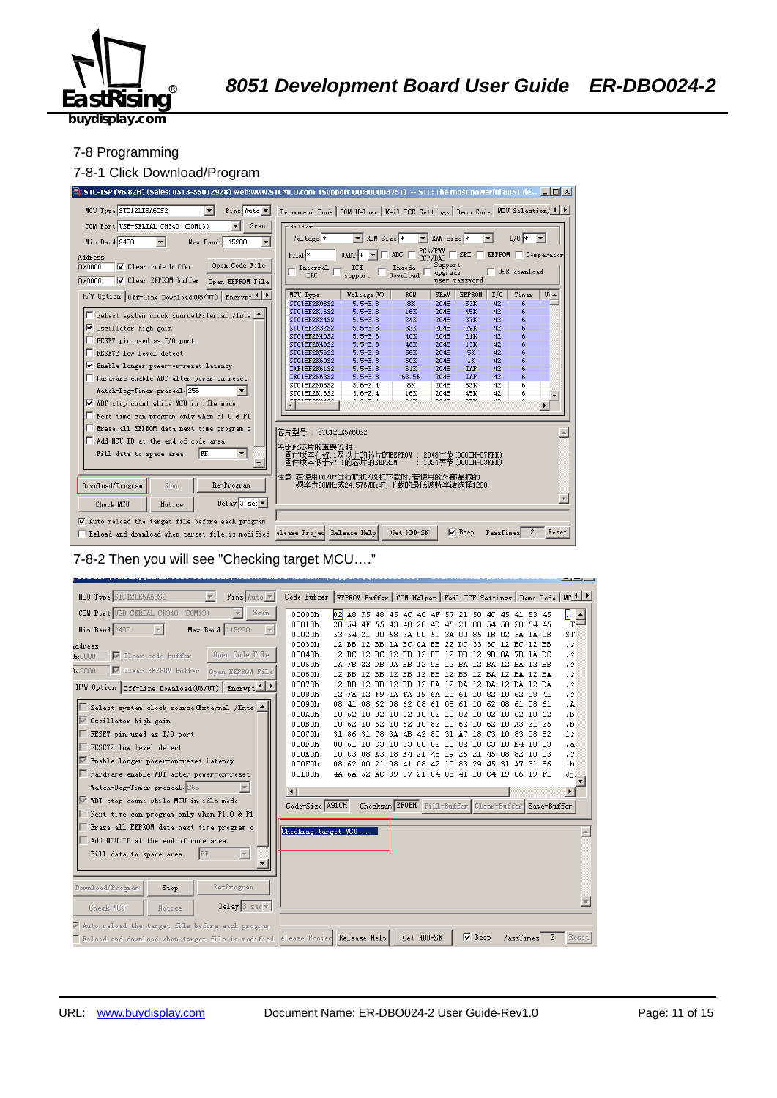

#### 7-8 Programming

#### 7-8-1 Click Download/Program



7-8-2 Then you will see "Checking target MCU…."

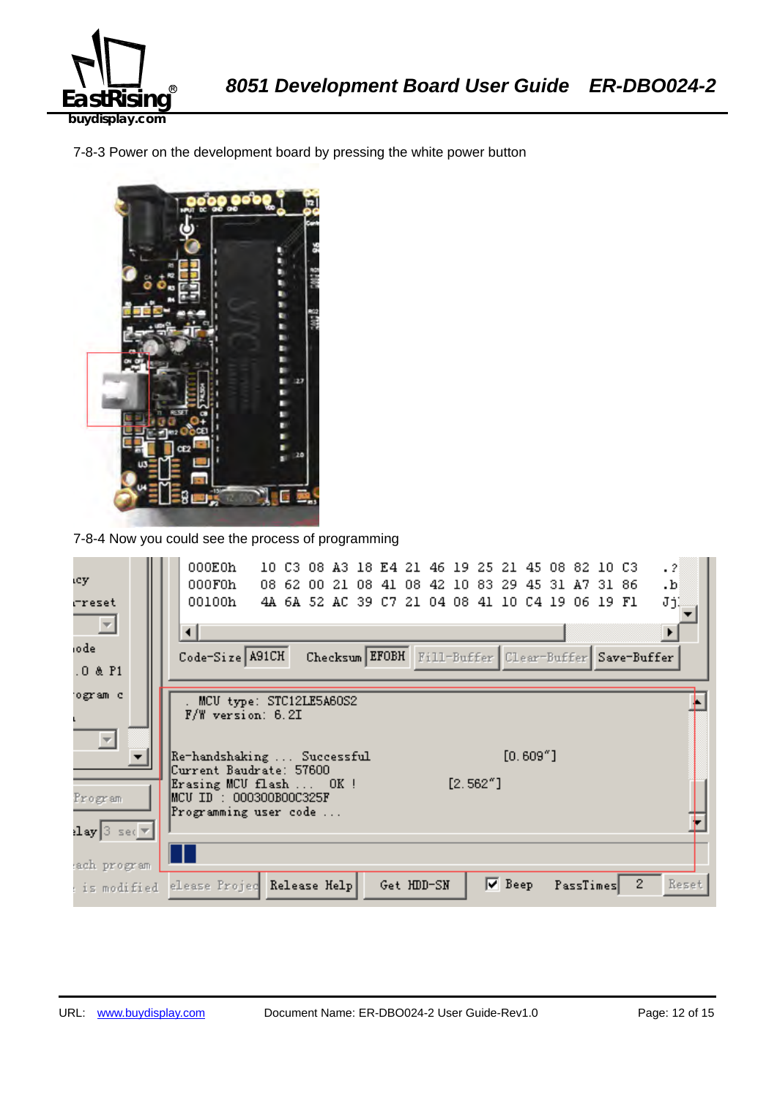

7-8-3 Power on the development board by pressing the white power button



7-8-4 Now you could see the process of programming

| ιcγ.                                                                          | 000E0h<br>$\cdot$ 2<br>10 C3 08 A3 18 E4 21 46 19 25 21 45 08 82 10 C3<br>000F0h<br>08 62 00 21 08 41 08 42 10 83 29<br>45 31 A7 31 86<br>.b |
|-------------------------------------------------------------------------------|----------------------------------------------------------------------------------------------------------------------------------------------|
| rreset                                                                        | JjĮ<br>00100h<br>4A 6A 52 AC 39 C7 21 04 08 41 10 C4 19 06 19 F1                                                                             |
| $\overline{\phantom{a}}$                                                      | ⊣                                                                                                                                            |
| iode                                                                          | Code-Size A91CH<br>Checksum EFOBH Fill-Buffer Clear-Buffer Save-Buffer                                                                       |
| $.0$ & $P1$                                                                   |                                                                                                                                              |
| ogram c                                                                       | MCU type: STC12LE5A60S2                                                                                                                      |
|                                                                               | F/W version: 6.2I                                                                                                                            |
|                                                                               | $[0.609"$ ]<br> Re-handshaking  Successful                                                                                                   |
|                                                                               | Current Baudrate: 57600<br>$[2.562"$ ]<br>Erasing MCU flash  OK!                                                                             |
| Program                                                                       | MCU ID : 000300B00C325F                                                                                                                      |
| $\left\lceil \log  3  \right\rceil$ sec $\left\lceil \sqrt{\pi} \right\rceil$ | Programming user code                                                                                                                        |
|                                                                               |                                                                                                                                              |
| ach program                                                                   |                                                                                                                                              |
| : is modified                                                                 | $\mathbf{2}$<br>$\nabla$ Beep<br>Reset<br>elease Projec Release Help<br>PassTimes<br>Get HDD-SN                                              |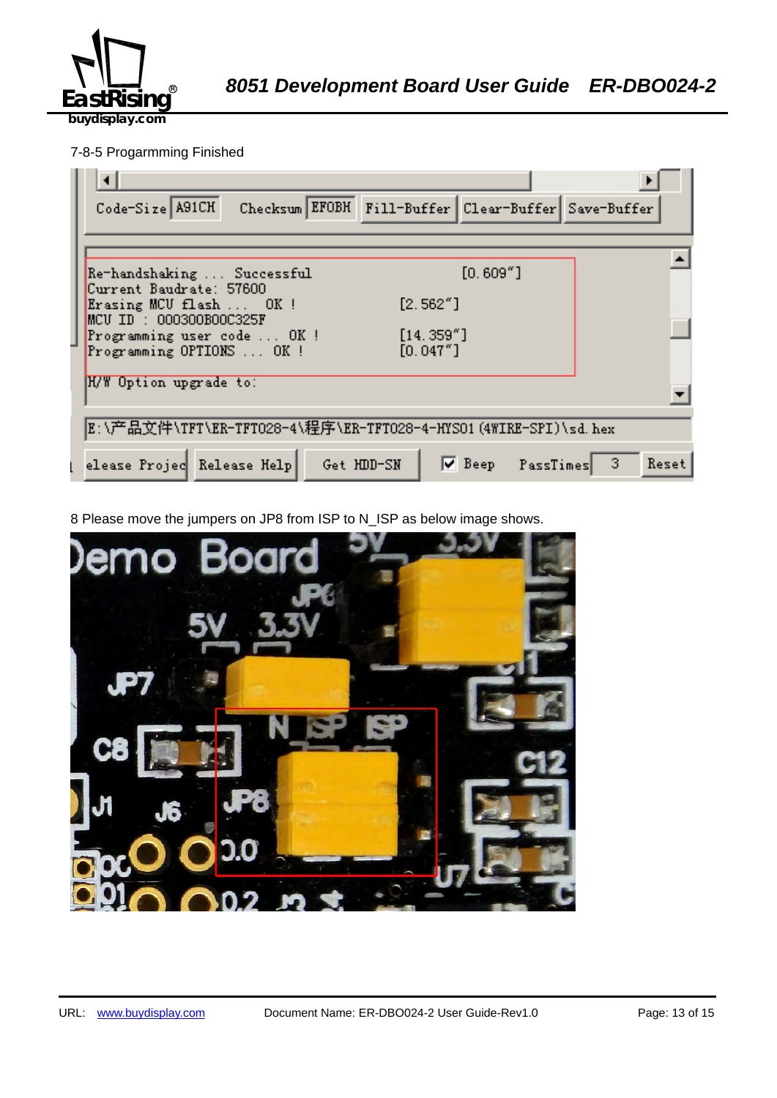

## 7-8-5 Progarmming Finished

| Checksum EFOBH Fill-Buffer Clear-Buffer Save-Buffer<br>Code-Size A91CH              |
|-------------------------------------------------------------------------------------|
|                                                                                     |
| $[0.609"$ ]<br>Re-handshaking  Successful<br>Current Baudrate: 57600                |
| [2.562"]<br>Erasing MCU flash  OK !<br>$MCU$ ID : 000300B00C325F                    |
| [14.359'']<br>Programming user code  OK !<br>[0.047"]<br>Programming OPTIONS  OK !  |
| H/W Option upgrade to:                                                              |
| E:\产品文件\TFT\ER-TFTO28-4\程序\ER-TFTO28-4-HYSO1(4WIRE-SPI)\sd.hex                      |
| $\nabla$ Beep PassTimes<br>elease Projec Release Help<br>Get HDD-SN<br>-3.<br>Reset |

8 Please move the jumpers on JP8 from ISP to N\_ISP as below image shows.

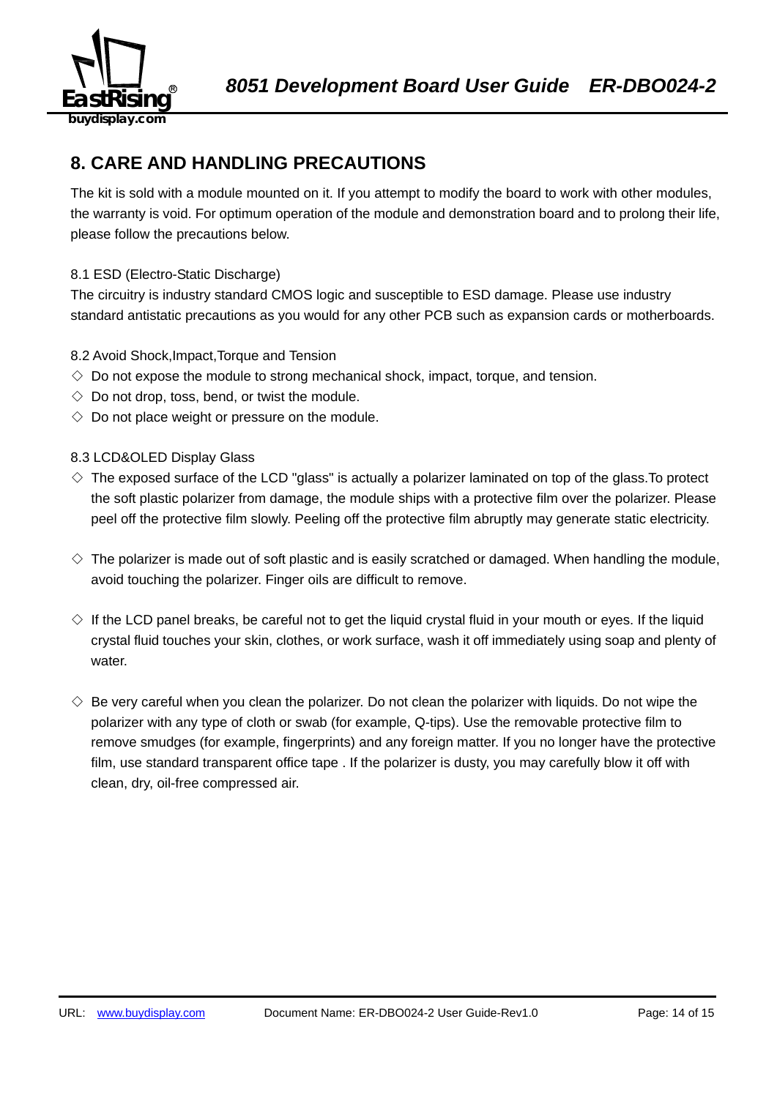

## **8. CARE AND HANDLING PRECAUTIONS**

The kit is sold with a module mounted on it. If you attempt to modify the board to work with other modules, the warranty is void. For optimum operation of the module and demonstration board and to prolong their life, please follow the precautions below.

## 8.1 ESD (Electro-Static Discharge)

The circuitry is industry standard CMOS logic and susceptible to ESD damage. Please use industry standard antistatic precautions as you would for any other PCB such as expansion cards or motherboards.

## 8.2 Avoid Shock,Impact,Torque and Tension

- $\Diamond$  Do not expose the module to strong mechanical shock, impact, torque, and tension.
- $\Diamond$  Do not drop, toss, bend, or twist the module.
- $\Diamond$  Do not place weight or pressure on the module.

### 8.3 LCD&OLED Display Glass

- $\diamond$  The exposed surface of the LCD "glass" is actually a polarizer laminated on top of the glass. To protect the soft plastic polarizer from damage, the module ships with a protective film over the polarizer. Please peel off the protective film slowly. Peeling off the protective film abruptly may generate static electricity.
- $\diamond$  The polarizer is made out of soft plastic and is easily scratched or damaged. When handling the module, avoid touching the polarizer. Finger oils are difficult to remove.
- $\Diamond$  If the LCD panel breaks, be careful not to get the liquid crystal fluid in your mouth or eyes. If the liquid crystal fluid touches your skin, clothes, or work surface, wash it off immediately using soap and plenty of water.
- $\diamondsuit$  Be very careful when you clean the polarizer. Do not clean the polarizer with liquids. Do not wipe the polarizer with any type of cloth or swab (for example, Q-tips). Use the removable protective film to remove smudges (for example, fingerprints) and any foreign matter. If you no longer have the protective film, use standard transparent office tape . If the polarizer is dusty, you may carefully blow it off with clean, dry, oil-free compressed air.